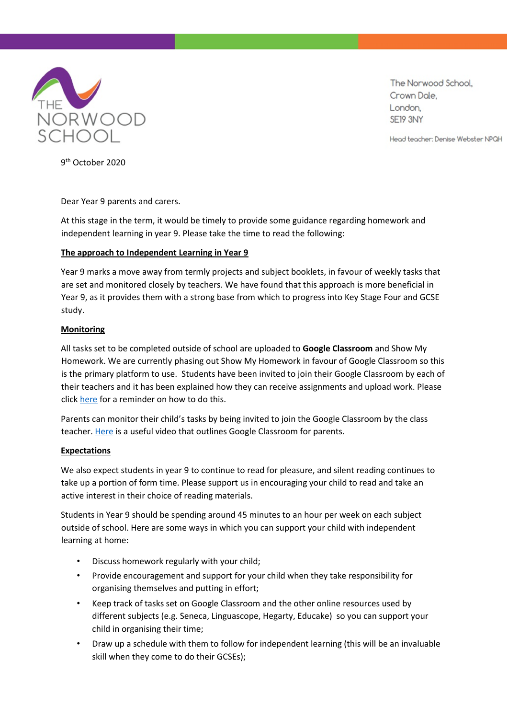

The Norwood School, Crown Dale. London, SE19 3NY

Head teacher: Denise Webster NPQH

9 th October 2020

Dear Year 9 parents and carers.

At this stage in the term, it would be timely to provide some guidance regarding homework and independent learning in year 9. Please take the time to read the following:

## **The approach to Independent Learning in Year 9**

Year 9 marks a move away from termly projects and subject booklets, in favour of weekly tasks that are set and monitored closely by teachers. We have found that this approach is more beneficial in Year 9, as it provides them with a strong base from which to progress into Key Stage Four and GCSE study.

## **Monitoring**

All tasks set to be completed outside of school are uploaded to **Google Classroom** and Show My Homework. We are currently phasing out Show My Homework in favour of Google Classroom so this is the primary platform to use. Students have been invited to join their Google Classroom by each of their teachers and it has been explained how they can receive assignments and upload work. Please clic[k here](https://www.thenorwoodschool.org/page/?title=RM+Unify%2FGoogle+Classroom+Student+Login&pid=148) for a reminder on how to do this.

Parents can monitor their child's tasks by being invited to join the Google Classroom by the class teacher. [Here](https://www.youtube.com/watch?v=IgS-hoSIjnw) [i](https://www.youtube.com/watch?v=IgS-hoSIjnw)s a useful video that outlines Google Classroom for parents.

## **Expectations**

We also expect students in year 9 to continue to read for pleasure, and silent reading continues to take up a portion of form time. Please support us in encouraging your child to read and take an active interest in their choice of reading materials.

Students in Year 9 should be spending around 45 minutes to an hour per week on each subject outside of school. Here are some ways in which you can support your child with independent learning at home:

- Discuss homework regularly with your child;
- Provide encouragement and support for your child when they take responsibility for organising themselves and putting in effort;
- Keep track of tasks set on Google Classroom and the other online resources used by different subjects (e.g. Seneca, Linguascope, Hegarty, Educake) so you can support your child in organising their time;
- Draw up a schedule with them to follow for independent learning (this will be an invaluable skill when they come to do their GCSEs);